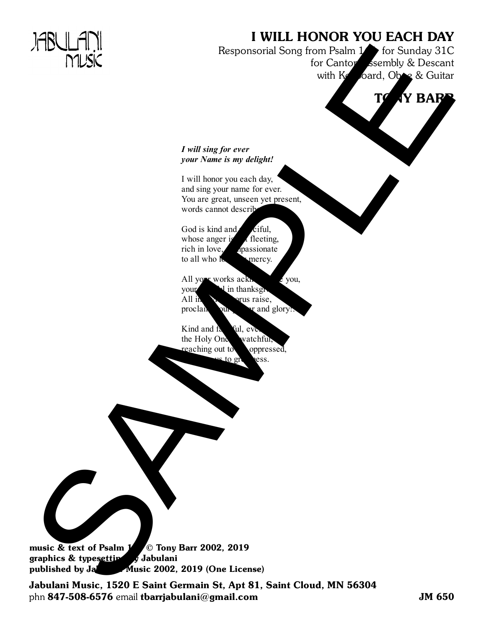## I WILL HONOR YOU EACH DAY

Responsorial Song from Psalm <sup>15</sup> for Sunday 31C for Canton, Assembly & Descant with  $\cancel{V}$  board, Oboe & Guitar FRAME COMPANY RESPONSIBLE SPOT COMPANY COMPANY RESPONSIBLE SPOT COMPANY RESPONSIBLE SPOT COMPANY COMPANY RESPONSIBLE SPOT COMPANY RESPONSIBLE SPOT COMPANY RESPONSIBLE SPOT COMPANY RESPONSIBLE SPOT COMPANY RESPONSIBLE SPOT



## *I will sing for ever your Name is my delight!*

I will honor you each day, and sing your name for ever. You are great, unseen yet present, words cannot descri

God is kind and *reiful*, whose anger at fleeting, rich in love mpassionate to all who lower mercy.

All  $y =$  works acknowledge you, you in thanksgiving. All  $\ln$   $\sqrt{\frac{1}{\pi}}$  vus raise, proclaim our and glory!

Kind and fa<sup>tal</sup>, ever the Holy One watchful, reaching out to oppressed, to gree less.

music & text of Psalm  $1/5$  © Tony Barr 2002, 2019 graphics  $&$  type still glabulani published by Jabulani Music 2002, 2019 (One License)

Jabulani Music, 1520 E Saint Germain St, Apt 81, Saint Cloud, MN 56304 phn 847-508-6576 email tbarrjabulani@gmail.com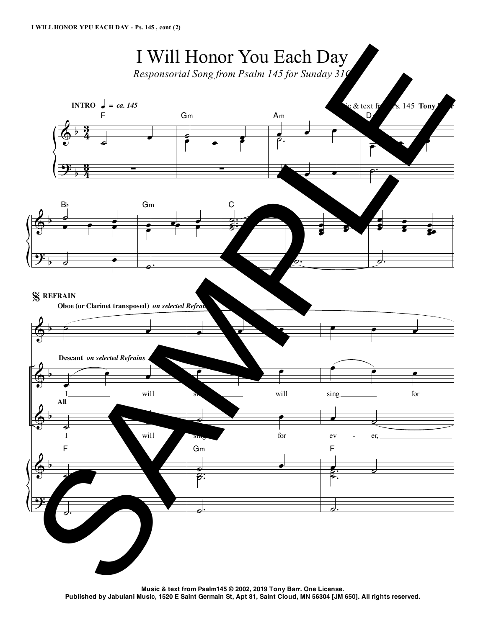

**Music & text from Psalm145 © 2002, 2019 Tony Barr. One License.** Published by Jabulani Music, 1520 E Saint Germain St, Apt 81, Saint Cloud, MN 56304 [JM 650]. All rights reserved.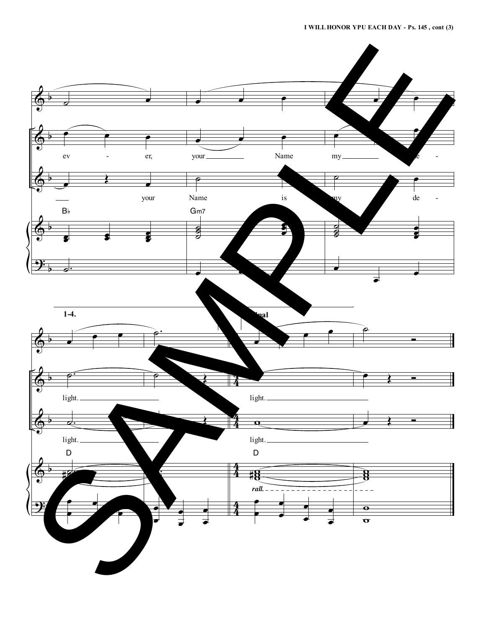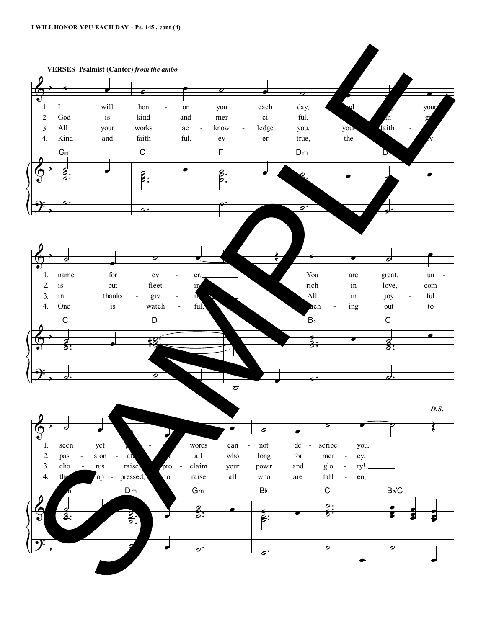